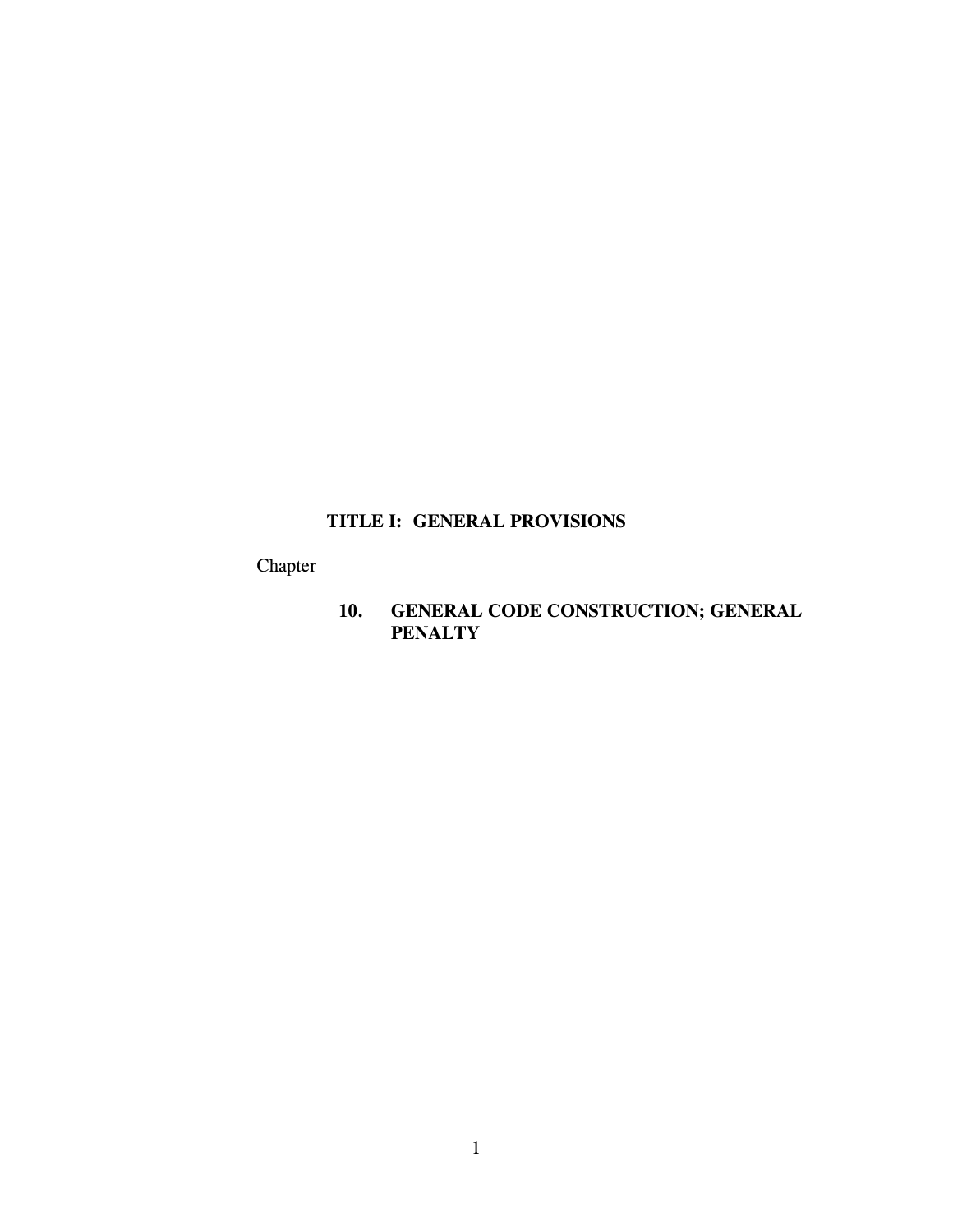# **TITLE I: GENERAL PROVISIONS**

Chapter

**10. GENERAL CODE CONSTRUCTION; GENERAL PENALTY**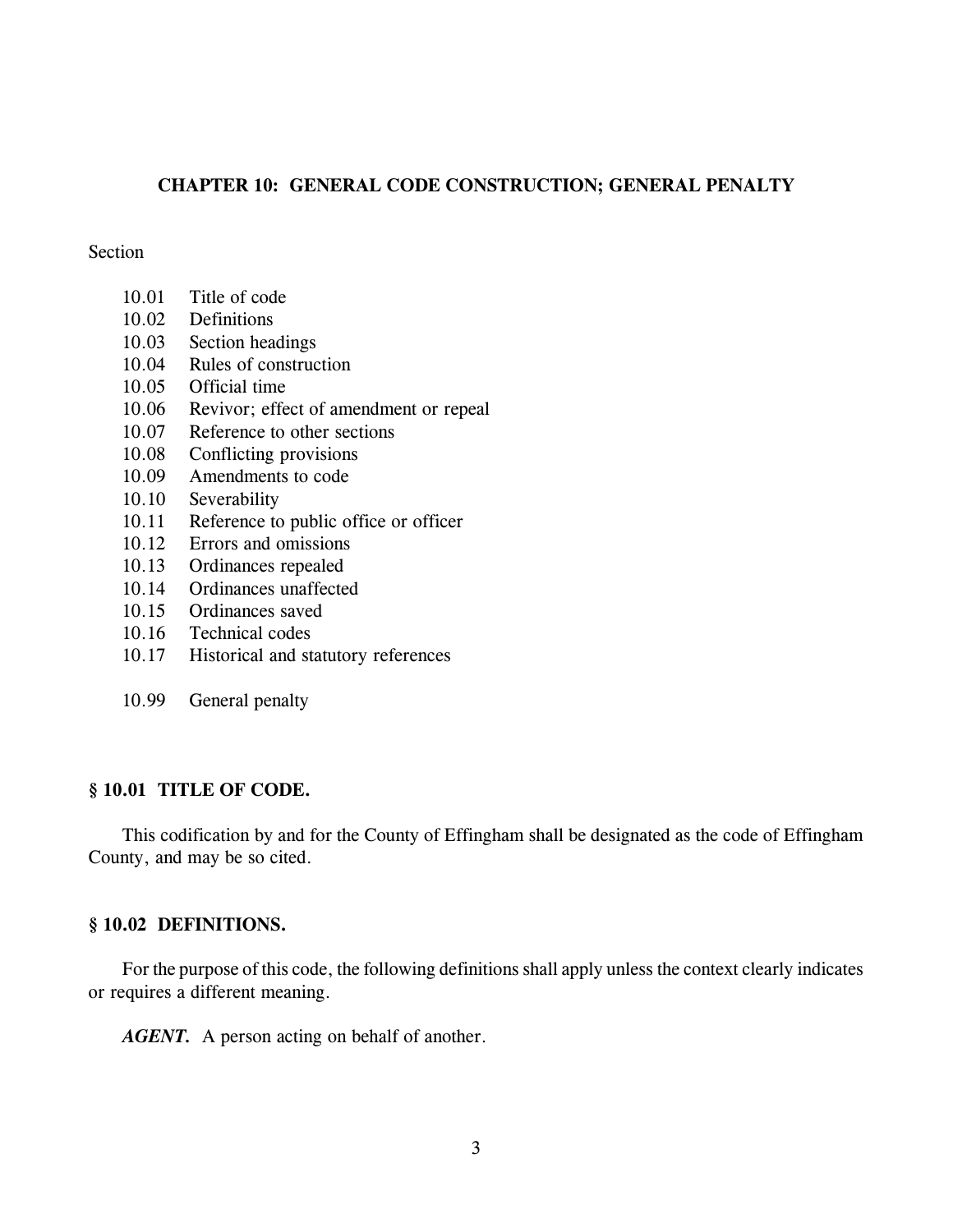# **CHAPTER 10: GENERAL CODE CONSTRUCTION; GENERAL PENALTY**

## **Section**

- 10.01 Title of code
- 10.02 Definitions
- 10.03 Section headings
- 10.04 Rules of construction
- 10.05 Official time
- 10.06 Revivor; effect of amendment or repeal
- 10.07 Reference to other sections
- 10.08 Conflicting provisions
- 10.09 Amendments to code
- 10.10 Severability
- 10.11 Reference to public office or officer
- 10.12 Errors and omissions
- 10.13 Ordinances repealed
- 10.14 Ordinances unaffected
- 10.15 Ordinances saved
- 10.16 Technical codes
- 10.17 Historical and statutory references
- 10.99 General penalty

# **§ 10.01 TITLE OF CODE.**

This codification by and for the County of Effingham shall be designated as the code of Effingham County, and may be so cited.

# **§ 10.02 DEFINITIONS.**

For the purpose of this code, the following definitions shall apply unless the context clearly indicates or requires a different meaning.

*AGENT.* A person acting on behalf of another.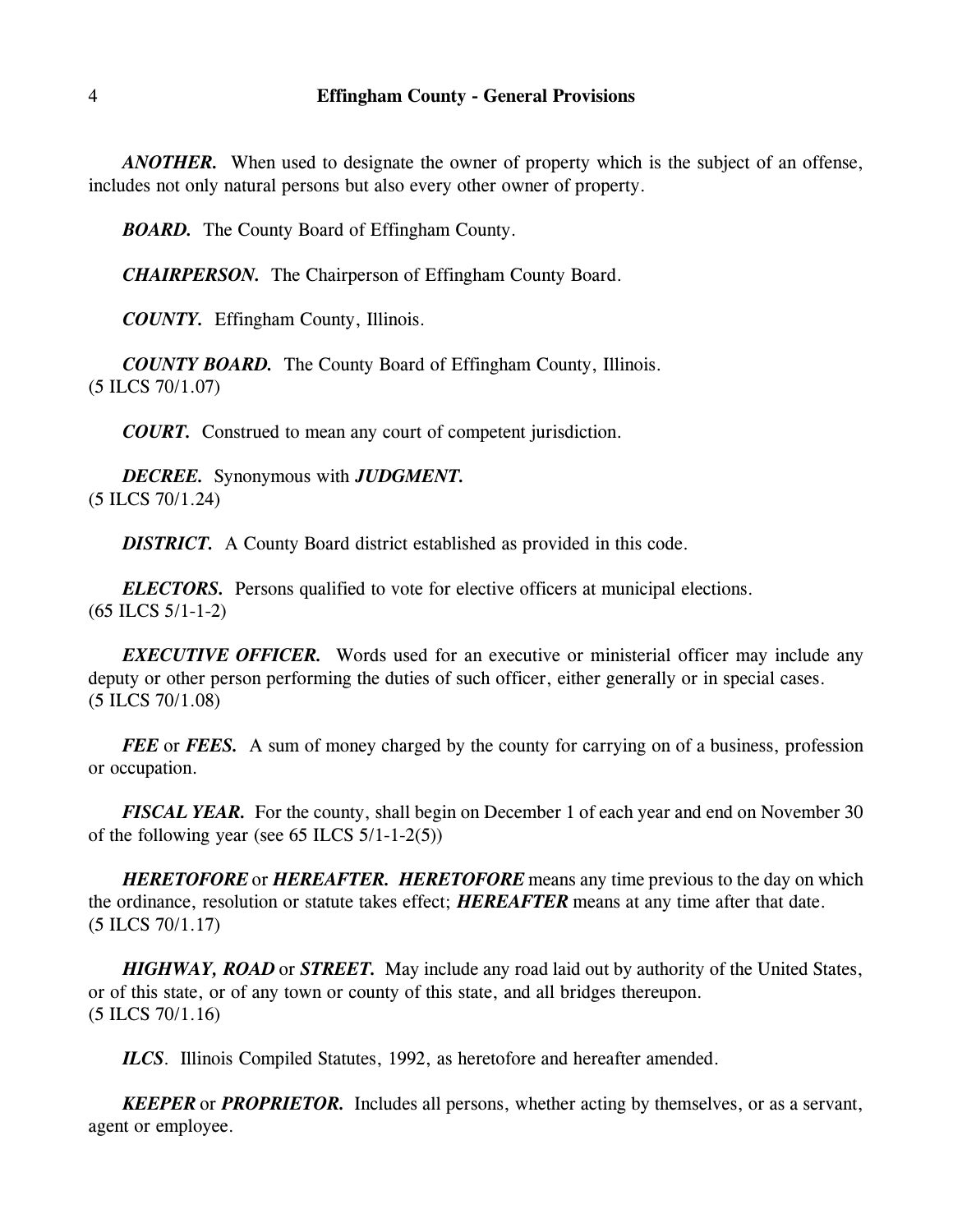*ANOTHER.* When used to designate the owner of property which is the subject of an offense, includes not only natural persons but also every other owner of property.

*BOARD.* The County Board of Effingham County.

*CHAIRPERSON.* The Chairperson of Effingham County Board.

*COUNTY.* Effingham County, Illinois.

*COUNTY BOARD.* The County Board of Effingham County, Illinois. (5 ILCS 70/1.07)

*COURT.* Construed to mean any court of competent jurisdiction.

*DECREE.* Synonymous with *JUDGMENT.* (5 ILCS 70/1.24)

*DISTRICT.* A County Board district established as provided in this code.

*ELECTORS.* Persons qualified to vote for elective officers at municipal elections. (65 ILCS 5/1-1-2)

*EXECUTIVE OFFICER.* Words used for an executive or ministerial officer may include any deputy or other person performing the duties of such officer, either generally or in special cases. (5 ILCS 70/1.08)

*FEE* or *FEES.* A sum of money charged by the county for carrying on of a business, profession or occupation.

*FISCAL YEAR.* For the county, shall begin on December 1 of each year and end on November 30 of the following year (see 65 ILCS 5/1-1-2(5))

*HERETOFORE* or *HEREAFTER. HERETOFORE* means any time previous to the day on which the ordinance, resolution or statute takes effect; *HEREAFTER* means at any time after that date. (5 ILCS 70/1.17)

*HIGHWAY, ROAD* or *STREET.* May include any road laid out by authority of the United States, or of this state, or of any town or county of this state, and all bridges thereupon. (5 ILCS 70/1.16)

*ILCS*. Illinois Compiled Statutes, 1992, as heretofore and hereafter amended.

*KEEPER* or *PROPRIETOR.* Includes all persons, whether acting by themselves, or as a servant, agent or employee.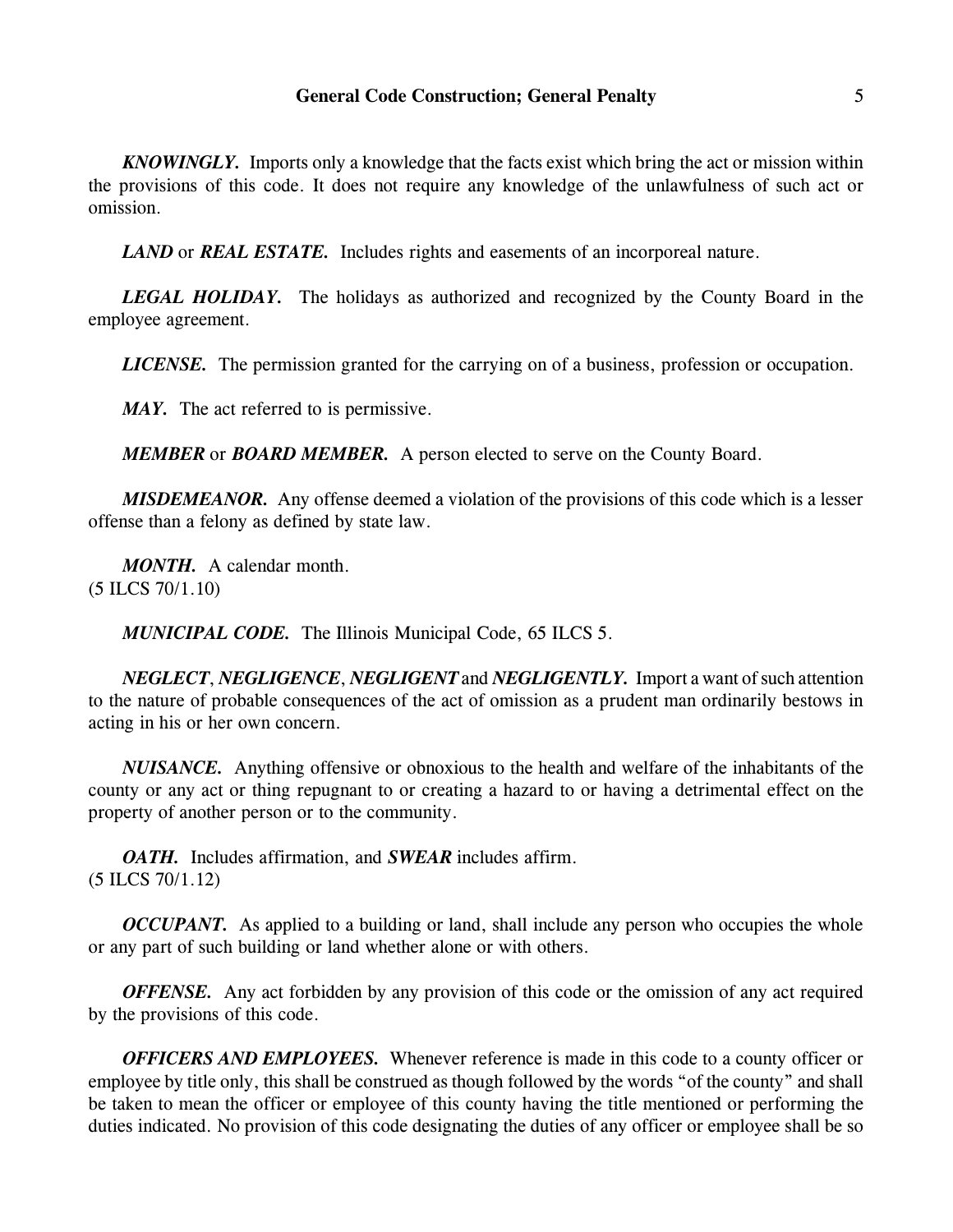# **General Code Construction; General Penalty** 5

*KNOWINGLY.* Imports only a knowledge that the facts exist which bring the act or mission within the provisions of this code. It does not require any knowledge of the unlawfulness of such act or omission.

*LAND* or *REAL ESTATE.* Includes rights and easements of an incorporeal nature.

*LEGAL HOLIDAY.* The holidays as authorized and recognized by the County Board in the employee agreement.

*LICENSE.* The permission granted for the carrying on of a business, profession or occupation.

*MAY.* The act referred to is permissive.

*MEMBER* or *BOARD MEMBER.* A person elected to serve on the County Board.

*MISDEMEANOR.* Any offense deemed a violation of the provisions of this code which is a lesser offense than a felony as defined by state law.

*MONTH.* A calendar month. (5 ILCS 70/1.10)

*MUNICIPAL CODE.* The Illinois Municipal Code, 65 ILCS 5.

*NEGLECT*, *NEGLIGENCE*, *NEGLIGENT* and *NEGLIGENTLY.* Import a want of such attention to the nature of probable consequences of the act of omission as a prudent man ordinarily bestows in acting in his or her own concern.

*NUISANCE.* Anything offensive or obnoxious to the health and welfare of the inhabitants of the county or any act or thing repugnant to or creating a hazard to or having a detrimental effect on the property of another person or to the community.

*OATH.* Includes affirmation, and *SWEAR* includes affirm. (5 ILCS 70/1.12)

*OCCUPANT*. As applied to a building or land, shall include any person who occupies the whole or any part of such building or land whether alone or with others.

*OFFENSE.* Any act forbidden by any provision of this code or the omission of any act required by the provisions of this code.

*OFFICERS AND EMPLOYEES.* Whenever reference is made in this code to a county officer or employee by title only, this shall be construed as though followed by the words "of the county" and shall be taken to mean the officer or employee of this county having the title mentioned or performing the duties indicated. No provision of this code designating the duties of any officer or employee shall be so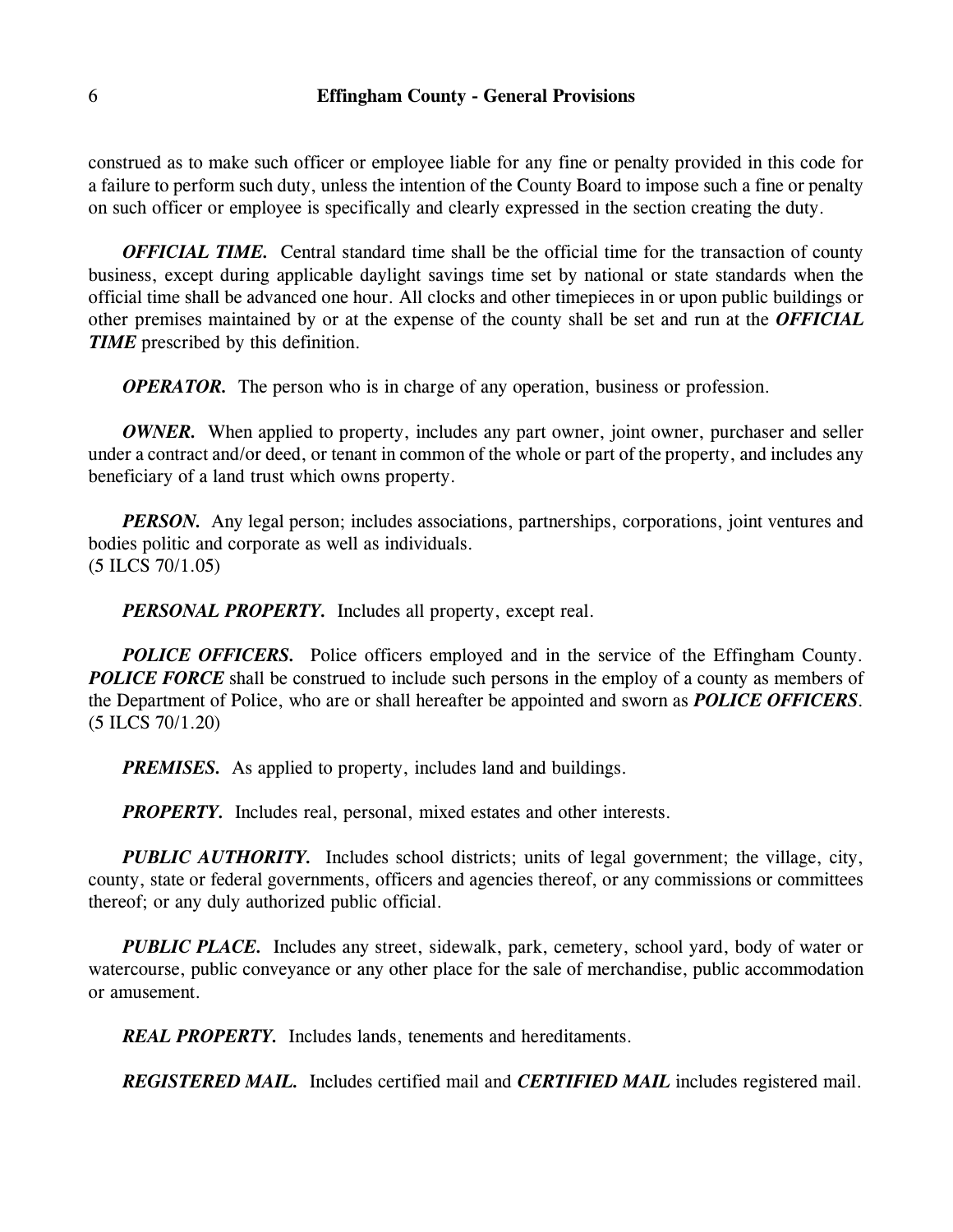construed as to make such officer or employee liable for any fine or penalty provided in this code for a failure to perform such duty, unless the intention of the County Board to impose such a fine or penalty on such officer or employee is specifically and clearly expressed in the section creating the duty.

*OFFICIAL TIME.* Central standard time shall be the official time for the transaction of county business, except during applicable daylight savings time set by national or state standards when the official time shall be advanced one hour. All clocks and other timepieces in or upon public buildings or other premises maintained by or at the expense of the county shall be set and run at the *OFFICIAL TIME* prescribed by this definition.

*OPERATOR.* The person who is in charge of any operation, business or profession.

*OWNER.* When applied to property, includes any part owner, joint owner, purchaser and seller under a contract and/or deed, or tenant in common of the whole or part of the property, and includes any beneficiary of a land trust which owns property.

*PERSON*. Any legal person; includes associations, partnerships, corporations, joint ventures and bodies politic and corporate as well as individuals. (5 ILCS 70/1.05)

*PERSONAL PROPERTY.* Includes all property, except real.

**POLICE OFFICERS.** Police officers employed and in the service of the Effingham County. **POLICE FORCE** shall be construed to include such persons in the employ of a county as members of the Department of Police, who are or shall hereafter be appointed and sworn as *POLICE OFFICERS*. (5 ILCS 70/1.20)

*PREMISES.* As applied to property, includes land and buildings.

*PROPERTY.* Includes real, personal, mixed estates and other interests.

*PUBLIC AUTHORITY.* Includes school districts; units of legal government; the village, city, county, state or federal governments, officers and agencies thereof, or any commissions or committees thereof; or any duly authorized public official.

*PUBLIC PLACE.* Includes any street, sidewalk, park, cemetery, school yard, body of water or watercourse, public conveyance or any other place for the sale of merchandise, public accommodation or amusement.

*REAL PROPERTY.* Includes lands, tenements and hereditaments.

*REGISTERED MAIL.* Includes certified mail and *CERTIFIED MAIL* includes registered mail.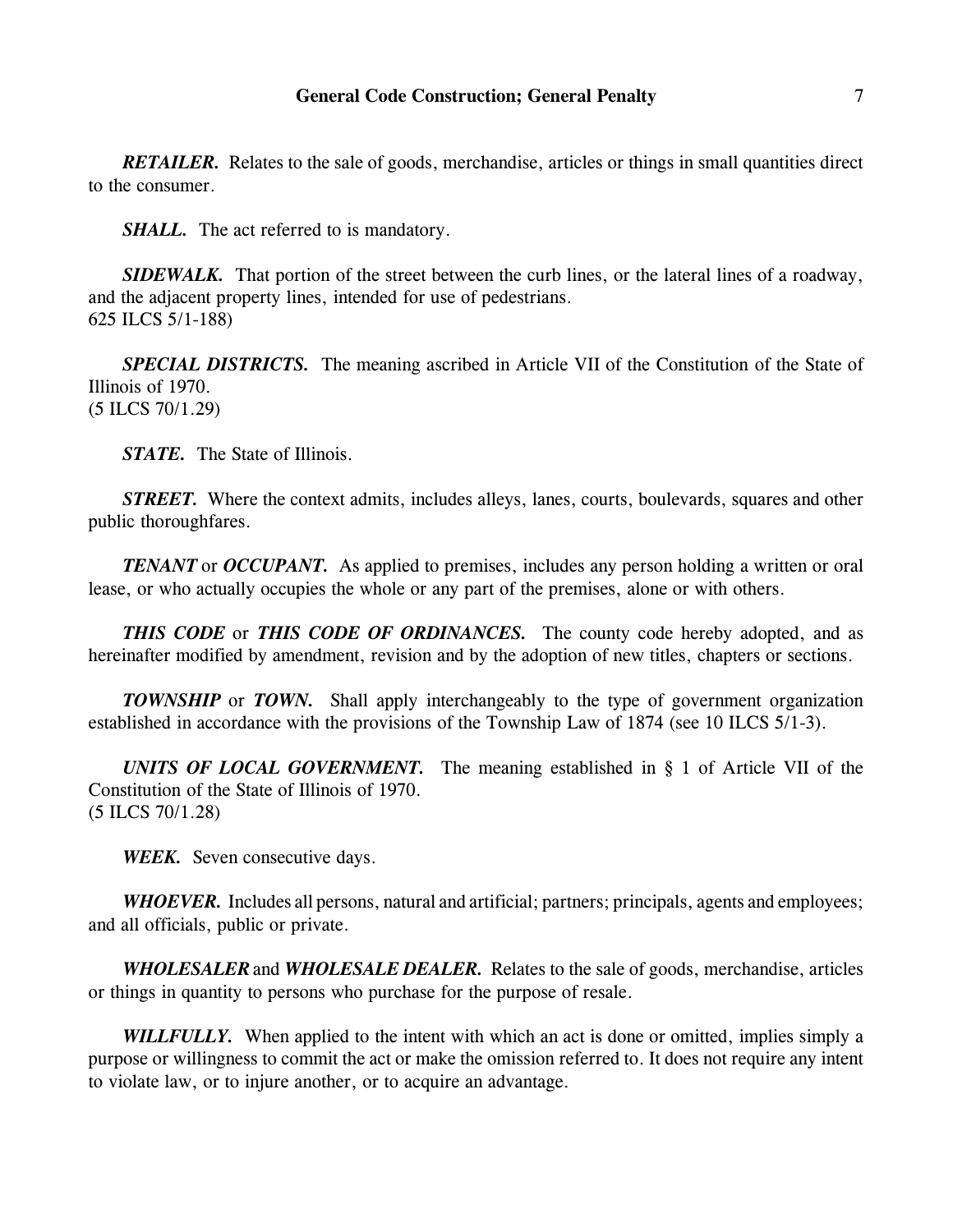*RETAILER.* Relates to the sale of goods, merchandise, articles or things in small quantities direct to the consumer.

*SHALL.* The act referred to is mandatory.

*SIDEWALK.* That portion of the street between the curb lines, or the lateral lines of a roadway, and the adjacent property lines, intended for use of pedestrians. 625 ILCS 5/1-188)

*SPECIAL DISTRICTS.* The meaning ascribed in Article VII of the Constitution of the State of Illinois of 1970. (5 ILCS 70/1.29)

*STATE.* The State of Illinois.

*STREET.* Where the context admits, includes alleys, lanes, courts, boulevards, squares and other public thoroughfares.

*TENANT* or *OCCUPANT*. As applied to premises, includes any person holding a written or oral lease, or who actually occupies the whole or any part of the premises, alone or with others.

*THIS CODE* or *THIS CODE OF ORDINANCES.* The county code hereby adopted, and as hereinafter modified by amendment, revision and by the adoption of new titles, chapters or sections.

**TOWNSHIP** or **TOWN.** Shall apply interchangeably to the type of government organization established in accordance with the provisions of the Township Law of 1874 (see 10 ILCS 5/1-3).

*UNITS OF LOCAL GOVERNMENT.* The meaning established in § 1 of Article VII of the Constitution of the State of Illinois of 1970. (5 ILCS 70/1.28)

*WEEK.* Seven consecutive days.

*WHOEVER.* Includes all persons, natural and artificial; partners; principals, agents and employees; and all officials, public or private.

*WHOLESALER* and *WHOLESALE DEALER.* Relates to the sale of goods, merchandise, articles or things in quantity to persons who purchase for the purpose of resale.

*WILLFULLY.* When applied to the intent with which an act is done or omitted, implies simply a purpose or willingness to commit the act or make the omission referred to. It does not require any intent to violate law, or to injure another, or to acquire an advantage.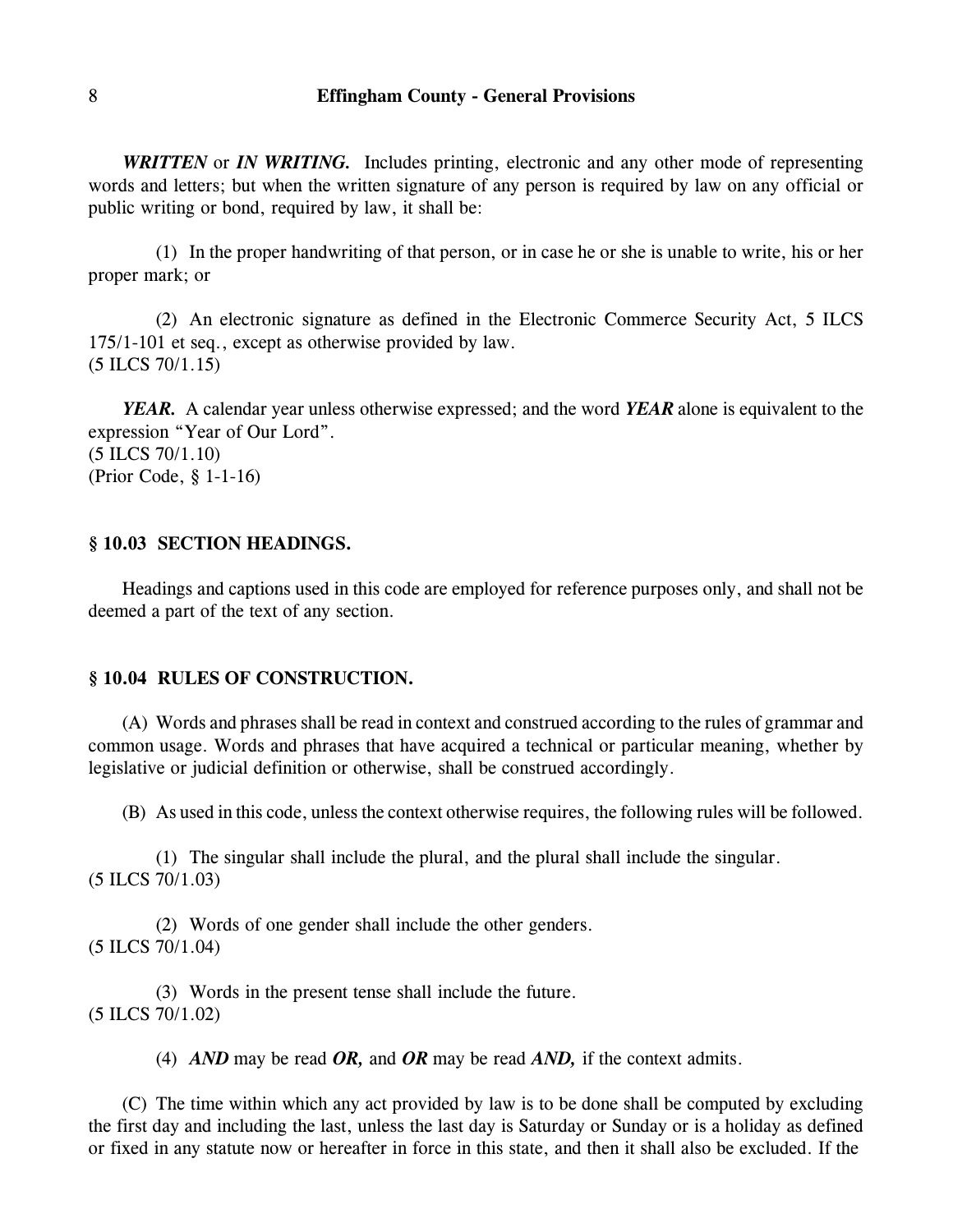*WRITTEN* or *IN WRITING.* Includes printing, electronic and any other mode of representing words and letters; but when the written signature of any person is required by law on any official or public writing or bond, required by law, it shall be:

(1) In the proper handwriting of that person, or in case he or she is unable to write, his or her proper mark; or

(2) An electronic signature as defined in the Electronic Commerce Security Act, 5 ILCS 175/1-101 et seq., except as otherwise provided by law. (5 ILCS 70/1.15)

*YEAR.* A calendar year unless otherwise expressed; and the word *YEAR* alone is equivalent to the expression "Year of Our Lord". (5 ILCS 70/1.10) (Prior Code, § 1-1-16)

#### **§ 10.03 SECTION HEADINGS.**

Headings and captions used in this code are employed for reference purposes only, and shall not be deemed a part of the text of any section.

#### **§ 10.04 RULES OF CONSTRUCTION.**

(A) Words and phrases shall be read in context and construed according to the rules of grammar and common usage. Words and phrases that have acquired a technical or particular meaning, whether by legislative or judicial definition or otherwise, shall be construed accordingly.

(B) As used in this code, unless the context otherwise requires, the following rules will be followed.

(1) The singular shall include the plural, and the plural shall include the singular. (5 ILCS 70/1.03)

(2) Words of one gender shall include the other genders. (5 ILCS 70/1.04)

(3) Words in the present tense shall include the future. (5 ILCS 70/1.02)

(4) *AND* may be read *OR,* and *OR* may be read *AND,* if the context admits.

(C) The time within which any act provided by law is to be done shall be computed by excluding the first day and including the last, unless the last day is Saturday or Sunday or is a holiday as defined or fixed in any statute now or hereafter in force in this state, and then it shall also be excluded. If the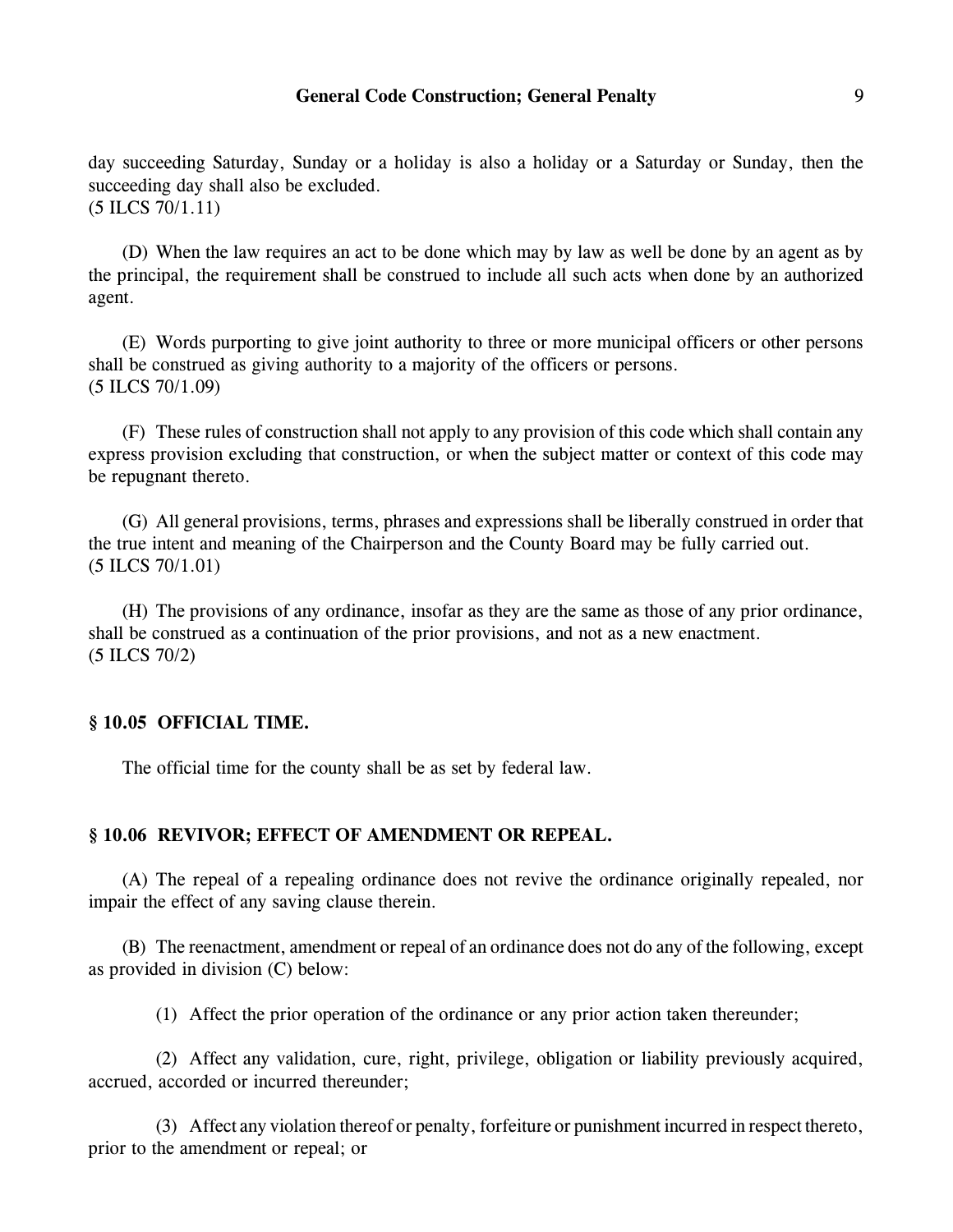# **General Code Construction; General Penalty** 9

day succeeding Saturday, Sunday or a holiday is also a holiday or a Saturday or Sunday, then the succeeding day shall also be excluded. (5 ILCS 70/1.11)

(D) When the law requires an act to be done which may by law as well be done by an agent as by the principal, the requirement shall be construed to include all such acts when done by an authorized agent.

(E) Words purporting to give joint authority to three or more municipal officers or other persons shall be construed as giving authority to a majority of the officers or persons. (5 ILCS 70/1.09)

(F) These rules of construction shall not apply to any provision of this code which shall contain any express provision excluding that construction, or when the subject matter or context of this code may be repugnant thereto.

(G) All general provisions, terms, phrases and expressions shall be liberally construed in order that the true intent and meaning of the Chairperson and the County Board may be fully carried out. (5 ILCS 70/1.01)

(H) The provisions of any ordinance, insofar as they are the same as those of any prior ordinance, shall be construed as a continuation of the prior provisions, and not as a new enactment. (5 ILCS 70/2)

### **§ 10.05 OFFICIAL TIME.**

The official time for the county shall be as set by federal law.

#### **§ 10.06 REVIVOR; EFFECT OF AMENDMENT OR REPEAL.**

(A) The repeal of a repealing ordinance does not revive the ordinance originally repealed, nor impair the effect of any saving clause therein.

(B) The reenactment, amendment or repeal of an ordinance does not do any of the following, except as provided in division (C) below:

(1) Affect the prior operation of the ordinance or any prior action taken thereunder;

(2) Affect any validation, cure, right, privilege, obligation or liability previously acquired, accrued, accorded or incurred thereunder;

(3) Affect any violation thereof or penalty, forfeiture or punishment incurred in respect thereto, prior to the amendment or repeal; or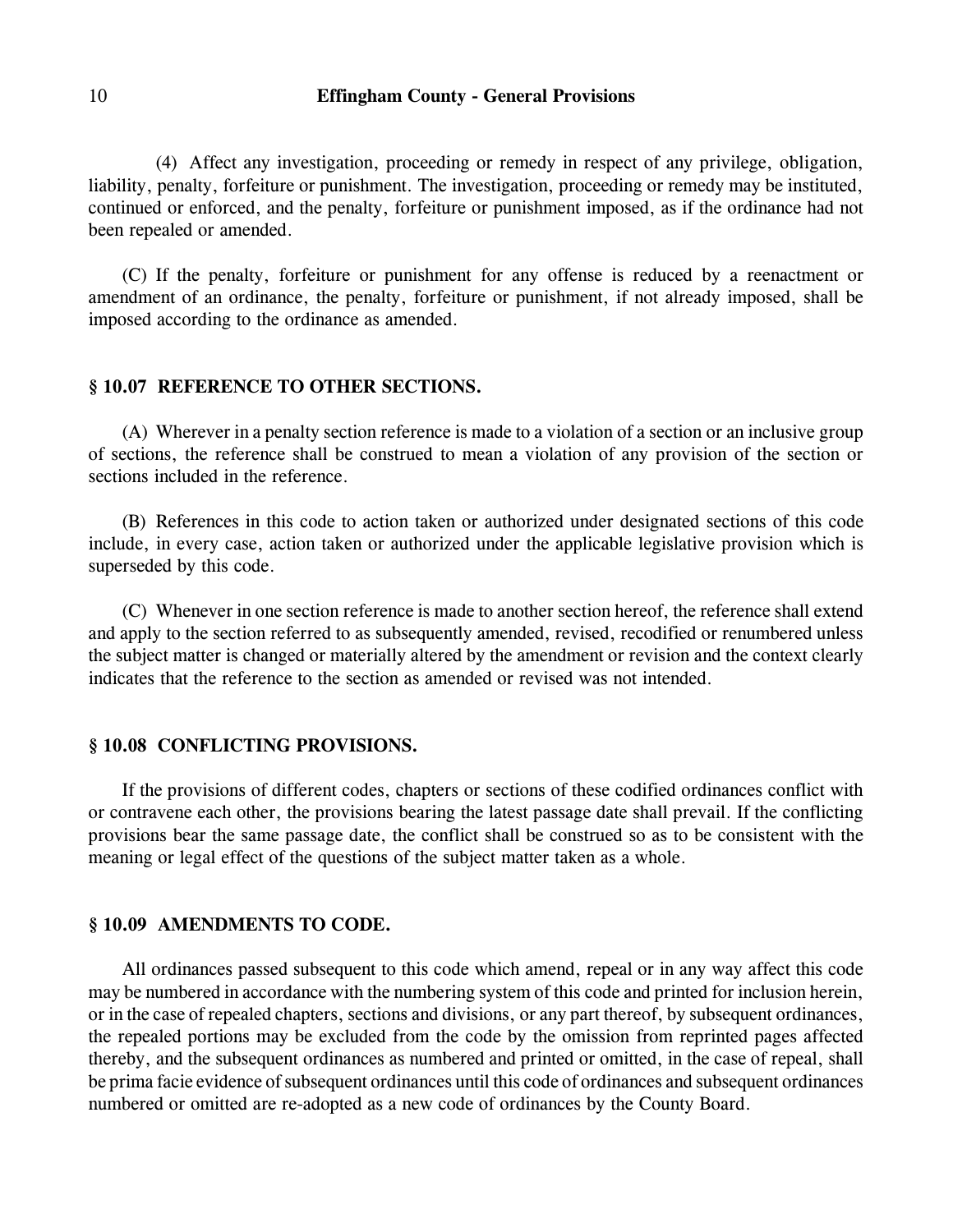(4) Affect any investigation, proceeding or remedy in respect of any privilege, obligation, liability, penalty, forfeiture or punishment. The investigation, proceeding or remedy may be instituted, continued or enforced, and the penalty, forfeiture or punishment imposed, as if the ordinance had not been repealed or amended.

(C) If the penalty, forfeiture or punishment for any offense is reduced by a reenactment or amendment of an ordinance, the penalty, forfeiture or punishment, if not already imposed, shall be imposed according to the ordinance as amended.

#### **§ 10.07 REFERENCE TO OTHER SECTIONS.**

(A) Wherever in a penalty section reference is made to a violation of a section or an inclusive group of sections, the reference shall be construed to mean a violation of any provision of the section or sections included in the reference.

(B) References in this code to action taken or authorized under designated sections of this code include, in every case, action taken or authorized under the applicable legislative provision which is superseded by this code.

(C) Whenever in one section reference is made to another section hereof, the reference shall extend and apply to the section referred to as subsequently amended, revised, recodified or renumbered unless the subject matter is changed or materially altered by the amendment or revision and the context clearly indicates that the reference to the section as amended or revised was not intended.

# **§ 10.08 CONFLICTING PROVISIONS.**

If the provisions of different codes, chapters or sections of these codified ordinances conflict with or contravene each other, the provisions bearing the latest passage date shall prevail. If the conflicting provisions bear the same passage date, the conflict shall be construed so as to be consistent with the meaning or legal effect of the questions of the subject matter taken as a whole.

### **§ 10.09 AMENDMENTS TO CODE.**

All ordinances passed subsequent to this code which amend, repeal or in any way affect this code may be numbered in accordance with the numbering system of this code and printed for inclusion herein, or in the case of repealed chapters, sections and divisions, or any part thereof, by subsequent ordinances, the repealed portions may be excluded from the code by the omission from reprinted pages affected thereby, and the subsequent ordinances as numbered and printed or omitted, in the case of repeal, shall be prima facie evidence of subsequent ordinances until this code of ordinances and subsequent ordinances numbered or omitted are re-adopted as a new code of ordinances by the County Board.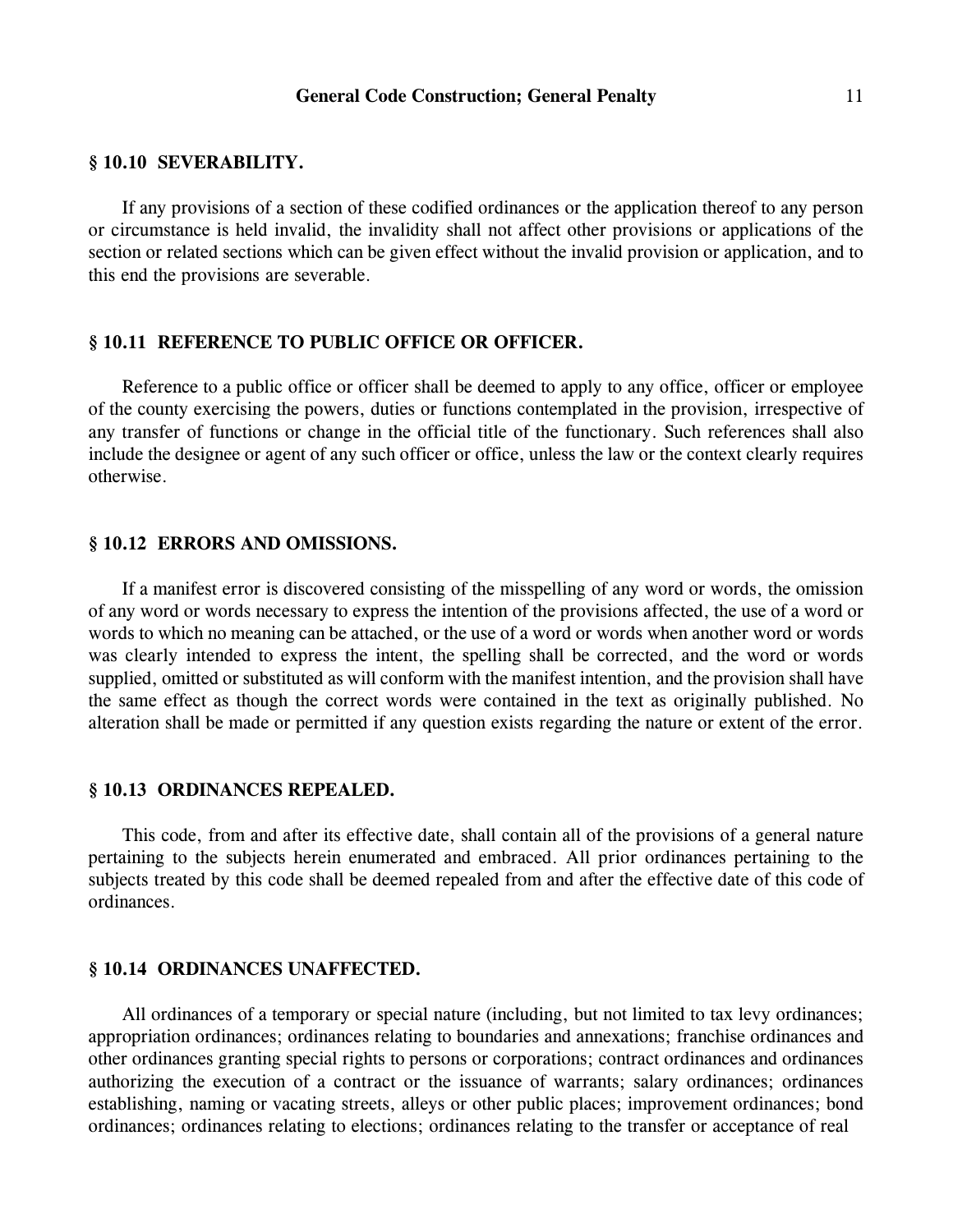### **§ 10.10 SEVERABILITY.**

If any provisions of a section of these codified ordinances or the application thereof to any person or circumstance is held invalid, the invalidity shall not affect other provisions or applications of the section or related sections which can be given effect without the invalid provision or application, and to this end the provisions are severable.

# **§ 10.11 REFERENCE TO PUBLIC OFFICE OR OFFICER.**

Reference to a public office or officer shall be deemed to apply to any office, officer or employee of the county exercising the powers, duties or functions contemplated in the provision, irrespective of any transfer of functions or change in the official title of the functionary. Such references shall also include the designee or agent of any such officer or office, unless the law or the context clearly requires otherwise.

### **§ 10.12 ERRORS AND OMISSIONS.**

If a manifest error is discovered consisting of the misspelling of any word or words, the omission of any word or words necessary to express the intention of the provisions affected, the use of a word or words to which no meaning can be attached, or the use of a word or words when another word or words was clearly intended to express the intent, the spelling shall be corrected, and the word or words supplied, omitted or substituted as will conform with the manifest intention, and the provision shall have the same effect as though the correct words were contained in the text as originally published. No alteration shall be made or permitted if any question exists regarding the nature or extent of the error.

# **§ 10.13 ORDINANCES REPEALED.**

This code, from and after its effective date, shall contain all of the provisions of a general nature pertaining to the subjects herein enumerated and embraced. All prior ordinances pertaining to the subjects treated by this code shall be deemed repealed from and after the effective date of this code of ordinances.

### **§ 10.14 ORDINANCES UNAFFECTED.**

All ordinances of a temporary or special nature (including, but not limited to tax levy ordinances; appropriation ordinances; ordinances relating to boundaries and annexations; franchise ordinances and other ordinances granting special rights to persons or corporations; contract ordinances and ordinances authorizing the execution of a contract or the issuance of warrants; salary ordinances; ordinances establishing, naming or vacating streets, alleys or other public places; improvement ordinances; bond ordinances; ordinances relating to elections; ordinances relating to the transfer or acceptance of real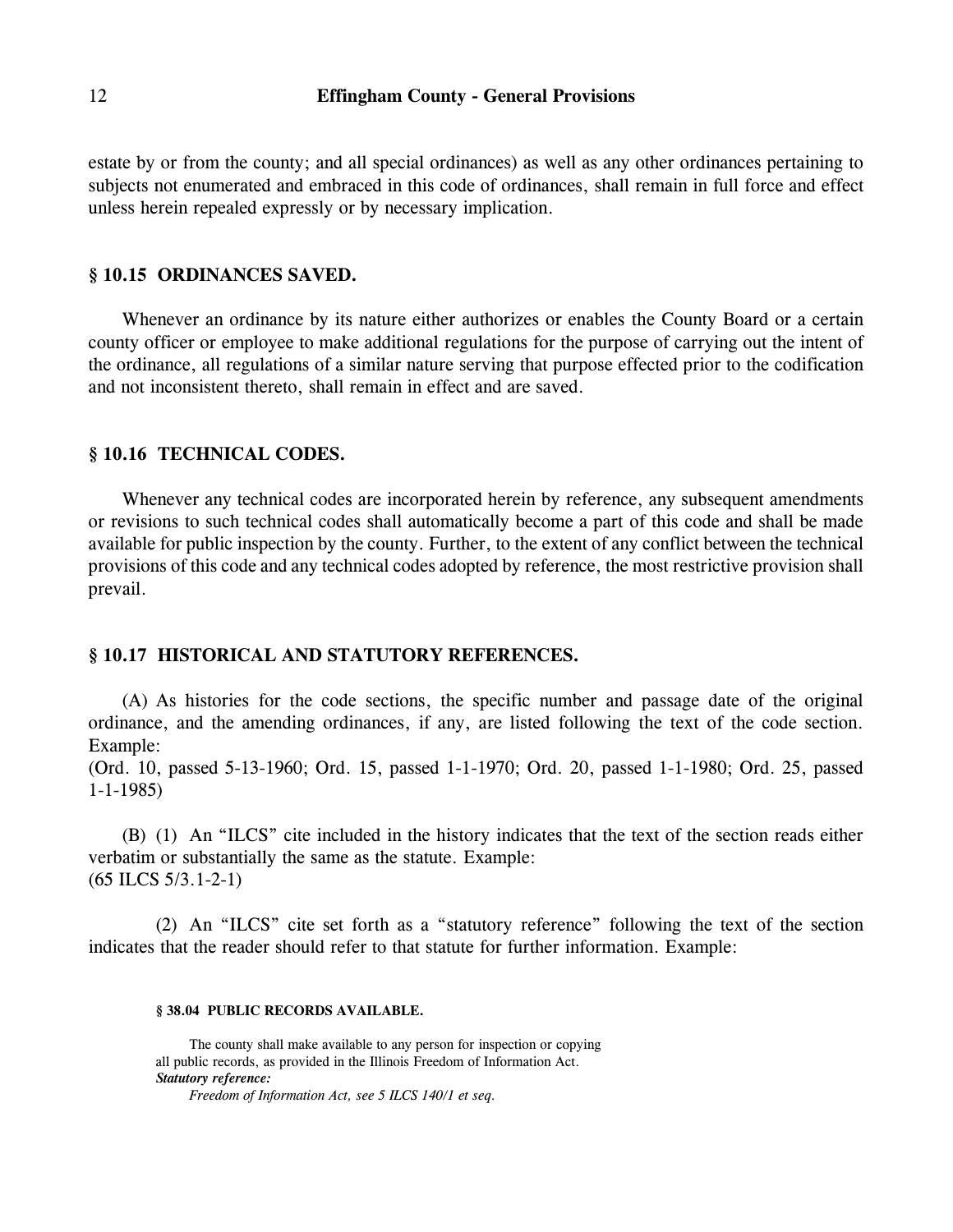estate by or from the county; and all special ordinances) as well as any other ordinances pertaining to subjects not enumerated and embraced in this code of ordinances, shall remain in full force and effect unless herein repealed expressly or by necessary implication.

# **§ 10.15 ORDINANCES SAVED.**

Whenever an ordinance by its nature either authorizes or enables the County Board or a certain county officer or employee to make additional regulations for the purpose of carrying out the intent of the ordinance, all regulations of a similar nature serving that purpose effected prior to the codification and not inconsistent thereto, shall remain in effect and are saved.

# **§ 10.16 TECHNICAL CODES.**

Whenever any technical codes are incorporated herein by reference, any subsequent amendments or revisions to such technical codes shall automatically become a part of this code and shall be made available for public inspection by the county. Further, to the extent of any conflict between the technical provisions of this code and any technical codes adopted by reference, the most restrictive provision shall prevail.

### **§ 10.17 HISTORICAL AND STATUTORY REFERENCES.**

(A) As histories for the code sections, the specific number and passage date of the original ordinance, and the amending ordinances, if any, are listed following the text of the code section. Example:

(Ord. 10, passed 5-13-1960; Ord. 15, passed 1-1-1970; Ord. 20, passed 1-1-1980; Ord. 25, passed 1-1-1985)

(B) (1) An "ILCS" cite included in the history indicates that the text of the section reads either verbatim or substantially the same as the statute. Example: (65 ILCS 5/3.1-2-1)

(2) An "ILCS" cite set forth as a "statutory reference" following the text of the section indicates that the reader should refer to that statute for further information. Example:

#### **§ 38.04 PUBLIC RECORDS AVAILABLE.**

The county shall make available to any person for inspection or copying all public records, as provided in the Illinois Freedom of Information Act. *Statutory reference:*

*Freedom of Information Act, see 5 ILCS 140/1 et seq*.